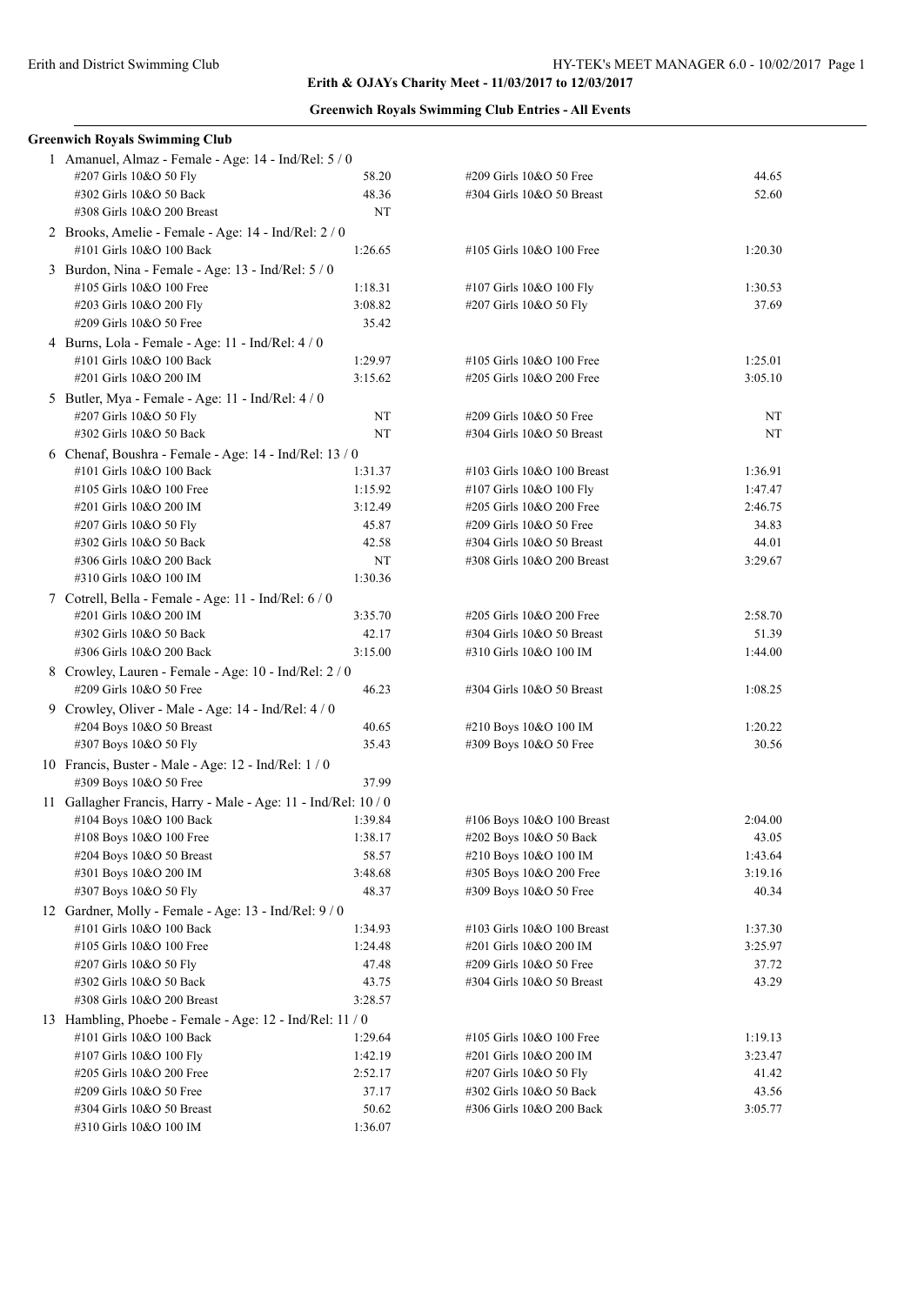## **Erith & OJAYs Charity Meet - 11/03/2017 to 12/03/2017**

| <b>Greenwich Royals Swimming Club Entries - All Events</b> |  |  |  |  |  |
|------------------------------------------------------------|--|--|--|--|--|
|------------------------------------------------------------|--|--|--|--|--|

| <b>Greenwich Royals Swimming Club</b>                                              |         |                            |         |  |  |
|------------------------------------------------------------------------------------|---------|----------------------------|---------|--|--|
| 1 Amanuel, Almaz - Female - Age: 14 - Ind/Rel: 5 / 0                               |         |                            |         |  |  |
| #207 Girls 10&O 50 Fly                                                             | 58.20   | #209 Girls 10&O 50 Free    | 44.65   |  |  |
| #302 Girls 10&O 50 Back                                                            | 48.36   | #304 Girls 10&O 50 Breast  | 52.60   |  |  |
| #308 Girls 10&O 200 Breast                                                         | NT      |                            |         |  |  |
| 2 Brooks, Amelie - Female - Age: 14 - Ind/Rel: 2 / 0                               |         |                            |         |  |  |
| #101 Girls 10&O 100 Back                                                           | 1:26.65 | #105 Girls 10&O 100 Free   | 1:20.30 |  |  |
| 3 Burdon, Nina - Female - Age: $13$ - Ind/Rel: $5/0$                               |         |                            |         |  |  |
| #105 Girls 10&O 100 Free                                                           | 1:18.31 | #107 Girls 10&O 100 Fly    | 1:30.53 |  |  |
| #203 Girls 10&O 200 Fly                                                            | 3:08.82 | #207 Girls 10&O 50 Fly     | 37.69   |  |  |
| #209 Girls 10&O 50 Free                                                            | 35.42   |                            |         |  |  |
| 4 Burns, Lola - Female - Age: 11 - Ind/Rel: 4 / 0                                  |         |                            |         |  |  |
| #101 Girls 10&O 100 Back                                                           | 1:29.97 | #105 Girls 10&O 100 Free   | 1:25.01 |  |  |
| #201 Girls 10&O 200 IM                                                             | 3:15.62 | #205 Girls 10&O 200 Free   | 3:05.10 |  |  |
| 5 Butler, Mya - Female - Age: 11 - Ind/Rel: 4 / 0                                  |         |                            |         |  |  |
| #207 Girls 10&O 50 Fly                                                             | NT      | #209 Girls 10&O 50 Free    | NT      |  |  |
| #302 Girls 10&O 50 Back                                                            | NT      | #304 Girls 10&O 50 Breast  | NT      |  |  |
|                                                                                    |         |                            |         |  |  |
| 6 Chenaf, Boushra - Female - Age: 14 - Ind/Rel: 13 / 0<br>#101 Girls 10&O 100 Back |         |                            | 1:36.91 |  |  |
|                                                                                    | 1:31.37 | #103 Girls 10&O 100 Breast |         |  |  |
| #105 Girls 10&O 100 Free                                                           | 1:15.92 | #107 Girls 10&O 100 Fly    | 1:47.47 |  |  |
| #201 Girls 10&O 200 IM                                                             | 3:12.49 | #205 Girls 10&O 200 Free   | 2:46.75 |  |  |
| #207 Girls 10&O 50 Fly                                                             | 45.87   | #209 Girls 10&O 50 Free    | 34.83   |  |  |
| #302 Girls 10&O 50 Back                                                            | 42.58   | #304 Girls 10&O 50 Breast  | 44.01   |  |  |
| #306 Girls 10&O 200 Back                                                           | NT      | #308 Girls 10&O 200 Breast | 3:29.67 |  |  |
| #310 Girls 10&O 100 IM                                                             | 1:30.36 |                            |         |  |  |
| 7 Cotrell, Bella - Female - Age: 11 - Ind/Rel: 6 / 0                               |         |                            |         |  |  |
| #201 Girls 10&O 200 IM                                                             | 3:35.70 | #205 Girls 10&O 200 Free   | 2:58.70 |  |  |
| #302 Girls 10&O 50 Back                                                            | 42.17   | #304 Girls 10&O 50 Breast  | 51.39   |  |  |
| #306 Girls 10&O 200 Back                                                           | 3:15.00 | #310 Girls 10&O 100 IM     | 1:44.00 |  |  |
| 8 Crowley, Lauren - Female - Age: 10 - Ind/Rel: 2 / 0                              |         |                            |         |  |  |
| #209 Girls 10&O 50 Free                                                            | 46.23   | #304 Girls 10&O 50 Breast  | 1:08.25 |  |  |
| 9 Crowley, Oliver - Male - Age: 14 - Ind/Rel: 4 / 0                                |         |                            |         |  |  |
| #204 Boys 10&O 50 Breast                                                           | 40.65   | #210 Boys 10&O 100 IM      | 1:20.22 |  |  |
| #307 Boys 10&O 50 Fly                                                              | 35.43   | #309 Boys 10&O 50 Free     | 30.56   |  |  |
| 10 Francis, Buster - Male - Age: 12 - Ind/Rel: 1 / 0                               |         |                            |         |  |  |
| #309 Boys 10&O 50 Free                                                             | 37.99   |                            |         |  |  |
| 11 Gallagher Francis, Harry - Male - Age: 11 - Ind/Rel: 10 / 0                     |         |                            |         |  |  |
| #104 Boys 10&O 100 Back                                                            | 1:39.84 | #106 Boys 10&O 100 Breast  | 2:04.00 |  |  |
| #108 Boys 10&O 100 Free                                                            | 1:38.17 | #202 Boys 10&O 50 Back     | 43.05   |  |  |
| #204 Boys 10&O 50 Breast                                                           | 58.57   | #210 Boys 10&O 100 IM      | 1:43.64 |  |  |
| #301 Boys 10&O 200 IM                                                              | 3:48.68 | #305 Boys 10&O 200 Free    | 3:19.16 |  |  |
| #307 Boys 10&O 50 Fly                                                              | 48.37   | #309 Boys 10&O 50 Free     | 40.34   |  |  |
| 12 Gardner, Molly - Female - Age: 13 - Ind/Rel: 9 / 0                              |         |                            |         |  |  |
| #101 Girls 10&O 100 Back                                                           | 1:34.93 | #103 Girls 10&O 100 Breast | 1:37.30 |  |  |
| #105 Girls 10&O 100 Free                                                           | 1:24.48 | #201 Girls 10&O 200 IM     | 3:25.97 |  |  |
| #207 Girls 10&O 50 Fly                                                             | 47.48   | #209 Girls 10&O 50 Free    | 37.72   |  |  |
| #302 Girls 10&O 50 Back                                                            | 43.75   | #304 Girls 10&O 50 Breast  | 43.29   |  |  |
| #308 Girls 10&O 200 Breast                                                         | 3:28.57 |                            |         |  |  |
| 13 Hambling, Phoebe - Female - Age: 12 - Ind/Rel: 11 / 0                           |         |                            |         |  |  |
| #101 Girls 10&O 100 Back                                                           | 1:29.64 | #105 Girls 10&O 100 Free   | 1:19.13 |  |  |
| #107 Girls 10&O 100 Fly                                                            | 1:42.19 | #201 Girls 10&O 200 IM     | 3:23.47 |  |  |
| #205 Girls 10&O 200 Free                                                           | 2:52.17 | #207 Girls 10&O 50 Fly     | 41.42   |  |  |
| #209 Girls 10&O 50 Free                                                            | 37.17   | #302 Girls 10&O 50 Back    | 43.56   |  |  |
| #304 Girls 10&O 50 Breast                                                          | 50.62   | #306 Girls 10&O 200 Back   | 3:05.77 |  |  |
| #310 Girls 10&O 100 IM                                                             | 1:36.07 |                            |         |  |  |